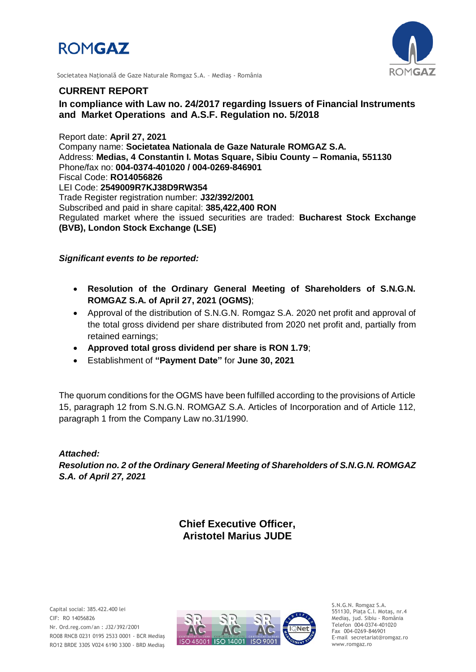



Societatea Naţională de Gaze Naturale Romgaz S.A. – Mediaş - România

# **CURRENT REPORT**

**In compliance with Law no. 24/2017 regarding Issuers of Financial Instruments and Market Operations and A.S.F. Regulation no. 5/2018**

Report date: **April 27, 2021** Company name: **Societatea Nationala de Gaze Naturale ROMGAZ S.A.** Address: **Medias, 4 Constantin I. Motas Square, Sibiu County – Romania, 551130** Phone/fax no: **004-0374-401020 / 004-0269-846901** Fiscal Code: **RO14056826** LEI Code: **2549009R7KJ38D9RW354** Trade Register registration number: **J32/392/2001** Subscribed and paid in share capital: **385,422,400 RON** Regulated market where the issued securities are traded: **Bucharest Stock Exchange (BVB), London Stock Exchange (LSE)**

#### *Significant events to be reported:*

- **Resolution of the Ordinary General Meeting of Shareholders of S.N.G.N. ROMGAZ S.A. of April 27, 2021 (OGMS)**;
- Approval of the distribution of S.N.G.N. Romgaz S.A. 2020 net profit and approval of the total gross dividend per share distributed from 2020 net profit and, partially from retained earnings;
- **Approved total gross dividend per share is RON 1.79**;
- Establishment of **"Payment Date"** for **June 30, 2021**

The quorum conditions for the OGMS have been fulfilled according to the provisions of Article 15, paragraph 12 from S.N.G.N. ROMGAZ S.A. Articles of Incorporation and of Article 112, paragraph 1 from the Company Law no.31/1990.

#### *Attached:*

*Resolution no. 2 of the Ordinary General Meeting of Shareholders of S.N.G.N. ROMGAZ S.A. of April 27, 2021*

> **Chief Executive Officer, Aristotel Marius JUDE**



S.N.G.N. Romgaz S.A. 551130, Piața C.I. Motaş, nr.4 Mediaş, jud. Sibiu - România Telefon 004-0374-401020 Fax 004-0269-846901 E-mail secretariat@romgaz.ro www.romgaz.ro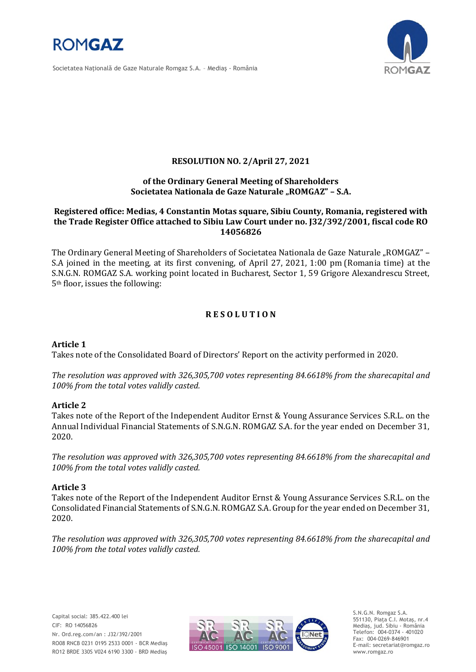

Societatea Naţională de Gaze Naturale Romgaz S.A. – Mediaş - România



# **RESOLUTION NO. 2/April 27, 2021**

#### **of the Ordinary General Meeting of Shareholders Societatea Nationala de Gaze Naturale "ROMGAZ" – S.A.**

## **Registered office: Medias, 4 Constantin Motas square, Sibiu County, Romania, registered with the Trade Register Office attached to Sibiu Law Court under no. J32/392/2001, fiscal code RO 14056826**

The Ordinary General Meeting of Shareholders of Societatea Nationala de Gaze Naturale "ROMGAZ" – S.A joined in the meeting, at its first convening, of April 27, 2021, 1:00 pm (Romania time) at the S.N.G.N. ROMGAZ S.A. working point located in Bucharest, Sector 1, 59 Grigore Alexandrescu Street, 5th floor, issues the following:

# **R E S O L U T I O N**

## **Article 1**

Takes note of the Consolidated Board of Directors' Report on the activity performed in 2020.

*The resolution was approved with 326,305,700 votes representing 84.6618% from the sharecapital and 100% from the total votes validly casted.*

#### **Article 2**

Takes note of the Report of the Independent Auditor Ernst & Young Assurance Services S.R.L. on the Annual Individual Financial Statements of S.N.G.N. ROMGAZ S.A. for the year ended on December 31, 2020.

*The resolution was approved with 326,305,700 votes representing 84.6618% from the sharecapital and 100% from the total votes validly casted.*

#### **Article 3**

Takes note of the Report of the Independent Auditor Ernst & Young Assurance Services S.R.L. on the Consolidated Financial Statements of S.N.G.N. ROMGAZ S.A. Group for the year ended on December 31, 2020.

*The resolution was approved with 326,305,700 votes representing 84.6618% from the sharecapital and 100% from the total votes validly casted.*



S.N.G.N. Romgaz S.A. 551130, Piața C.I. Motaş, nr.4 Mediaş, jud. Sibiu - România Telefon: 004-0374 - 401020 Fax: 004-0269-846901 E-mail: secretariat@romgaz.ro www.romgaz.ro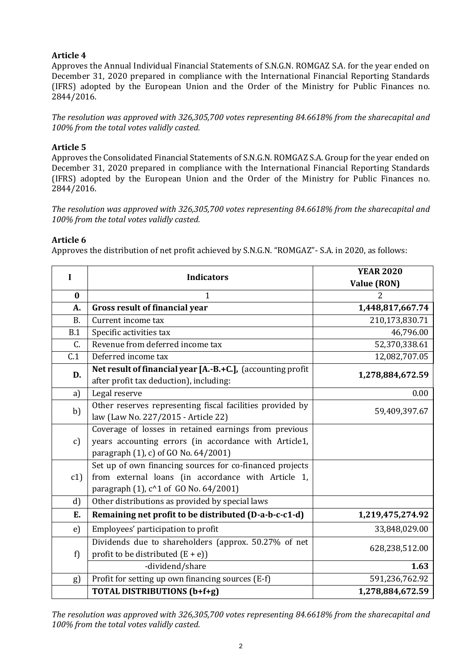# **Article 4**

Approves the Annual Individual Financial Statements of S.N.G.N. ROMGAZ S.A. for the year ended on December 31, 2020 prepared in compliance with the International Financial Reporting Standards (IFRS) adopted by the European Union and the Order of the Ministry for Public Finances no. 2844/2016.

*The resolution was approved with 326,305,700 votes representing 84.6618% from the sharecapital and 100% from the total votes validly casted.*

## **Article 5**

Approves the Consolidated Financial Statements of S.N.G.N. ROMGAZ S.A. Group for the year ended on December 31, 2020 prepared in compliance with the International Financial Reporting Standards (IFRS) adopted by the European Union and the Order of the Ministry for Public Finances no. 2844/2016.

*The resolution was approved with 326,305,700 votes representing 84.6618% from the sharecapital and 100% from the total votes validly casted.*

#### **Article 6**

Approves the distribution of net profit achieved by S.N.G.N. "ROMGAZ"- S.A. in 2020, as follows:

| I            | <b>Indicators</b>                                                                                                                                       | <b>YEAR 2020</b> |
|--------------|---------------------------------------------------------------------------------------------------------------------------------------------------------|------------------|
|              |                                                                                                                                                         | Value (RON)      |
| $\bf{0}$     | $\mathbf{1}$                                                                                                                                            | 2                |
| A.           | <b>Gross result of financial year</b>                                                                                                                   | 1,448,817,667.74 |
| <b>B.</b>    | Current income tax                                                                                                                                      | 210,173,830.71   |
| B.1          | Specific activities tax                                                                                                                                 | 46,796.00        |
| C.           | Revenue from deferred income tax                                                                                                                        | 52,370,338.61    |
| C.1          | Deferred income tax                                                                                                                                     | 12,082,707.05    |
| D.           | Net result of financial year [A.-B.+C.], (accounting profit<br>after profit tax deduction), including:                                                  | 1,278,884,672.59 |
| a)           | Legal reserve                                                                                                                                           | 0.00             |
| b)           | Other reserves representing fiscal facilities provided by<br>law (Law No. 227/2015 - Article 22)                                                        | 59,409,397.67    |
| $\mathbf{c}$ | Coverage of losses in retained earnings from previous<br>years accounting errors (in accordance with Article1,<br>paragraph (1), c) of GO No. 64/2001)  |                  |
| c1           | Set up of own financing sources for co-financed projects<br>from external loans (in accordance with Article 1,<br>paragraph (1), c^1 of GO No. 64/2001) |                  |
| d)           | Other distributions as provided by special laws                                                                                                         |                  |
| E.           | Remaining net profit to be distributed (D-a-b-c-c1-d)                                                                                                   | 1,219,475,274.92 |
| e)           | Employees' participation to profit                                                                                                                      | 33,848,029.00    |
| f)           | Dividends due to shareholders (approx. 50.27% of net<br>profit to be distributed $(E + e)$                                                              | 628,238,512.00   |
|              | -dividend/share                                                                                                                                         | 1.63             |
| g)           | Profit for setting up own financing sources (E-f)                                                                                                       | 591,236,762.92   |
|              | <b>TOTAL DISTRIBUTIONS (b+f+g)</b>                                                                                                                      | 1,278,884,672.59 |

*The resolution was approved with 326,305,700 votes representing 84.6618% from the sharecapital and 100% from the total votes validly casted.*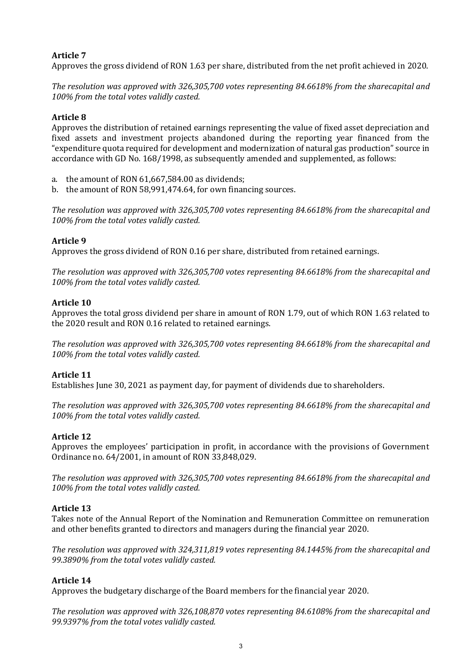# **Article 7**

Approves the gross dividend of RON 1.63 per share, distributed from the net profit achieved in 2020.

*The resolution was approved with 326,305,700 votes representing 84.6618% from the sharecapital and 100% from the total votes validly casted.*

# **Article 8**

Approves the distribution of retained earnings representing the value of fixed asset depreciation and fixed assets and investment projects abandoned during the reporting year financed from the "expenditure quota required for development and modernization of natural gas production" source in accordance with GD No. 168/1998, as subsequently amended and supplemented, as follows:

- a. the amount of RON 61,667,584.00 as dividends;
- b. the amount of RON 58,991,474.64, for own financing sources.

*The resolution was approved with 326,305,700 votes representing 84.6618% from the sharecapital and 100% from the total votes validly casted.*

## **Article 9**

Approves the gross dividend of RON 0.16 per share, distributed from retained earnings.

*The resolution was approved with 326,305,700 votes representing 84.6618% from the sharecapital and 100% from the total votes validly casted.*

# **Article 10**

Approves the total gross dividend per share in amount of RON 1.79, out of which RON 1.63 related to the 2020 result and RON 0.16 related to retained earnings.

*The resolution was approved with 326,305,700 votes representing 84.6618% from the sharecapital and 100% from the total votes validly casted.*

## **Article 11**

Establishes June 30, 2021 as payment day, for payment of dividends due to shareholders.

*The resolution was approved with 326,305,700 votes representing 84.6618% from the sharecapital and 100% from the total votes validly casted.*

## **Article 12**

Approves the employees' participation in profit, in accordance with the provisions of Government Ordinance no. 64/2001, in amount of RON 33,848,029.

*The resolution was approved with 326,305,700 votes representing 84.6618% from the sharecapital and 100% from the total votes validly casted.*

## **Article 13**

Takes note of the Annual Report of the Nomination and Remuneration Committee on remuneration and other benefits granted to directors and managers during the financial year 2020.

*The resolution was approved with 324,311,819 votes representing 84.1445% from the sharecapital and 99.3890% from the total votes validly casted.* 

## **Article 14**

Approves the budgetary discharge of the Board members for the financial year 2020.

*The resolution was approved with 326,108,870 votes representing 84.6108% from the sharecapital and 99.9397% from the total votes validly casted.*